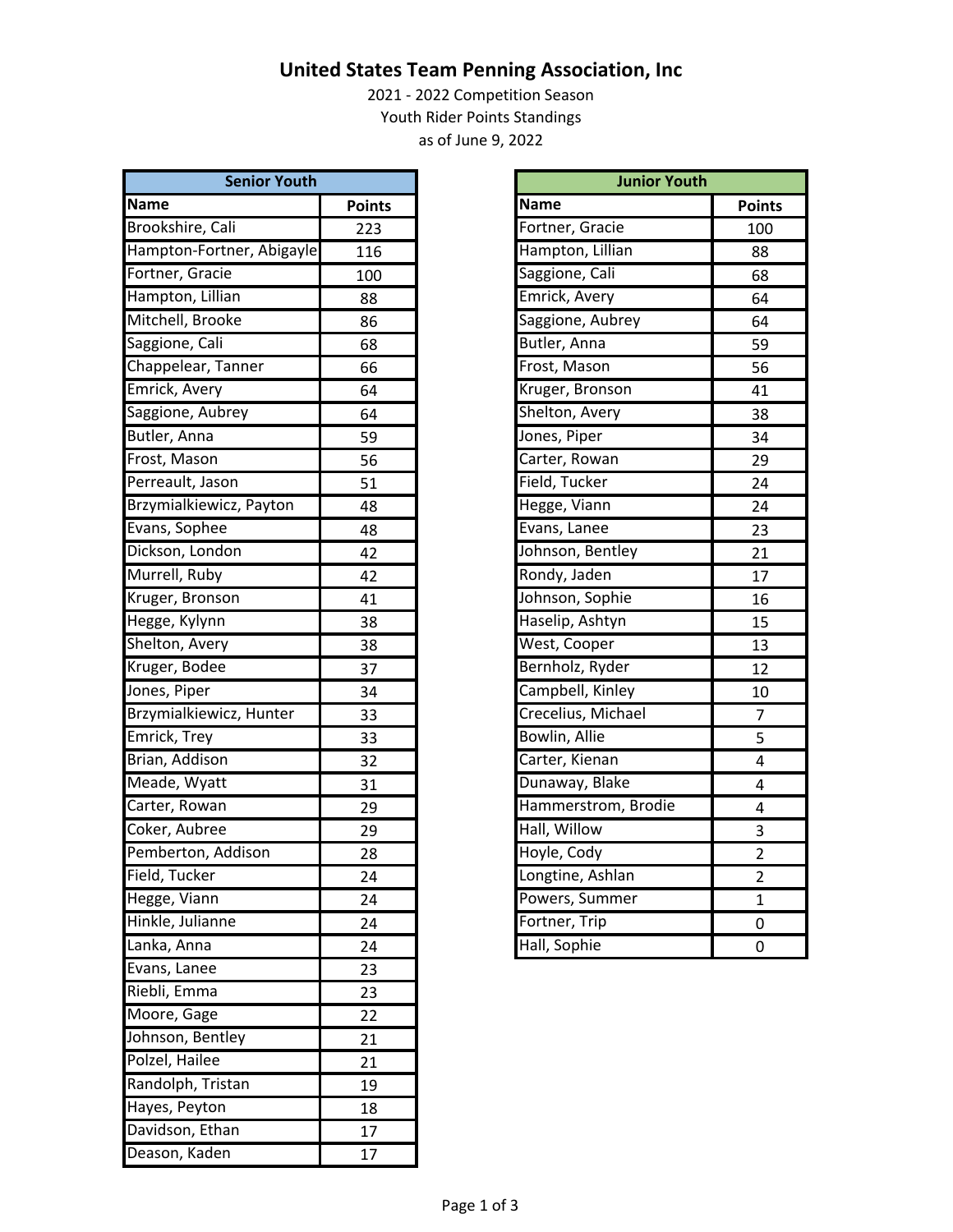## **United States Team Penning Association, Inc**

2021 ‐ 2022 Competition Season Youth Rider Points Standings as of June 9, 2022

| <b>Senior Youth</b>       |               | <b>Junior Youth</b> |                |
|---------------------------|---------------|---------------------|----------------|
| <b>Name</b>               | <b>Points</b> | <b>Name</b>         | <b>Points</b>  |
| Brookshire, Cali          | 223           | Fortner, Gracie     | 100            |
| Hampton-Fortner, Abigayle | 116           | Hampton, Lillian    | 88             |
| Fortner, Gracie           | 100           | Saggione, Cali      | 68             |
| Hampton, Lillian          | 88            | Emrick, Avery       | 64             |
| Mitchell, Brooke          | 86            | Saggione, Aubrey    | 64             |
| Saggione, Cali            | 68            | Butler, Anna        | 59             |
| Chappelear, Tanner        | 66            | Frost, Mason        | 56             |
| Emrick, Avery             | 64            | Kruger, Bronson     | 41             |
| Saggione, Aubrey          | 64            | Shelton, Avery      | 38             |
| Butler, Anna              | 59            | Jones, Piper        | 34             |
| Frost, Mason              | 56            | Carter, Rowan       | 29             |
| Perreault, Jason          | 51            | Field, Tucker       | 24             |
| Brzymialkiewicz, Payton   | 48            | Hegge, Viann        | 24             |
| Evans, Sophee             | 48            | Evans, Lanee        | 23             |
| Dickson, London           | 42            | Johnson, Bentley    | 21             |
| Murrell, Ruby             | 42            | Rondy, Jaden        | 17             |
| Kruger, Bronson           | 41            | Johnson, Sophie     | 16             |
| Hegge, Kylynn             | 38            | Haselip, Ashtyn     | 15             |
| Shelton, Avery            | 38            | West, Cooper        | 13             |
| Kruger, Bodee             | 37            | Bernholz, Ryder     | 12             |
| Jones, Piper              | 34            | Campbell, Kinley    | 10             |
| Brzymialkiewicz, Hunter   | 33            | Crecelius, Michael  | $\overline{7}$ |
| Emrick, Trey              | 33            | Bowlin, Allie       | 5              |
| Brian, Addison            | 32            | Carter, Kienan      | $\overline{4}$ |
| Meade, Wyatt              | 31            | Dunaway, Blake      | 4              |
| Carter, Rowan             | 29            | Hammerstrom, Brodie | 4              |
| Coker, Aubree             | 29            | Hall, Willow        | $\mathbf{3}$   |
| Pemberton, Addison        | 28            | Hoyle, Cody         | $\overline{2}$ |
| Field, Tucker             | 24            | Longtine, Ashlan    | 2              |
| Hegge, Viann              | 24            | Powers, Summer      | $\mathbf{1}$   |
| Hinkle, Julianne          | 24            | Fortner, Trip       | 0              |
| Lanka, Anna               | 24            | Hall, Sophie        | 0              |
| Evans, Lanee              | 23            |                     |                |
| Riebli, Emma              | 23            |                     |                |
| Moore, Gage               | 22            |                     |                |
| Johnson, Bentley          | 21            |                     |                |
| Polzel, Hailee            | 21            |                     |                |
| Randolph, Tristan         | 19            |                     |                |
| Hayes, Peyton             | 18            |                     |                |
| Davidson, Ethan           | 17            |                     |                |
| Deason, Kaden             | 17            |                     |                |

| <b>Junior Youth</b>  |                |
|----------------------|----------------|
| <b>Name</b>          | <b>Points</b>  |
| Fortner, Gracie      | 100            |
| Hampton, Lillian     | 88             |
| Saggione, Cali       | 68             |
| Emrick, Avery        | 64             |
| Saggione, Aubrey     | 64             |
| Butler, Anna         | 59             |
| Frost, Mason         | 56             |
| Kruger, Bronson      | 41             |
| Shelton, Avery       | 38             |
| Jones, Piper         | 34             |
| Carter, Rowan        | 29             |
| Field, Tucker        | 24             |
| Hegge, Viann         | 24             |
| Evans, Lanee         | 23             |
| Johnson, Bentley     | 21             |
| Rondy, Jaden         | 17             |
| Johnson, Sophie      | 16             |
| Haselip, Ashtyn      | 15             |
| West, Cooper         | 13             |
| Bernholz, Ryder      | 12             |
| Campbell, Kinley     | 10             |
| Crecelius, Michael   | 7              |
| <b>Bowlin, Allie</b> | 5              |
| Carter, Kienan       | 4              |
| Dunaway, Blake       | 4              |
| Hammerstrom, Brodie  | 4              |
| Hall, Willow         | 3              |
| Hoyle, Cody          | $\overline{2}$ |
| Longtine, Ashlan     | $\overline{2}$ |
| Powers, Summer       | $\overline{1}$ |
| Fortner, Trip        | 0              |
| Hall, Sophie         | 0              |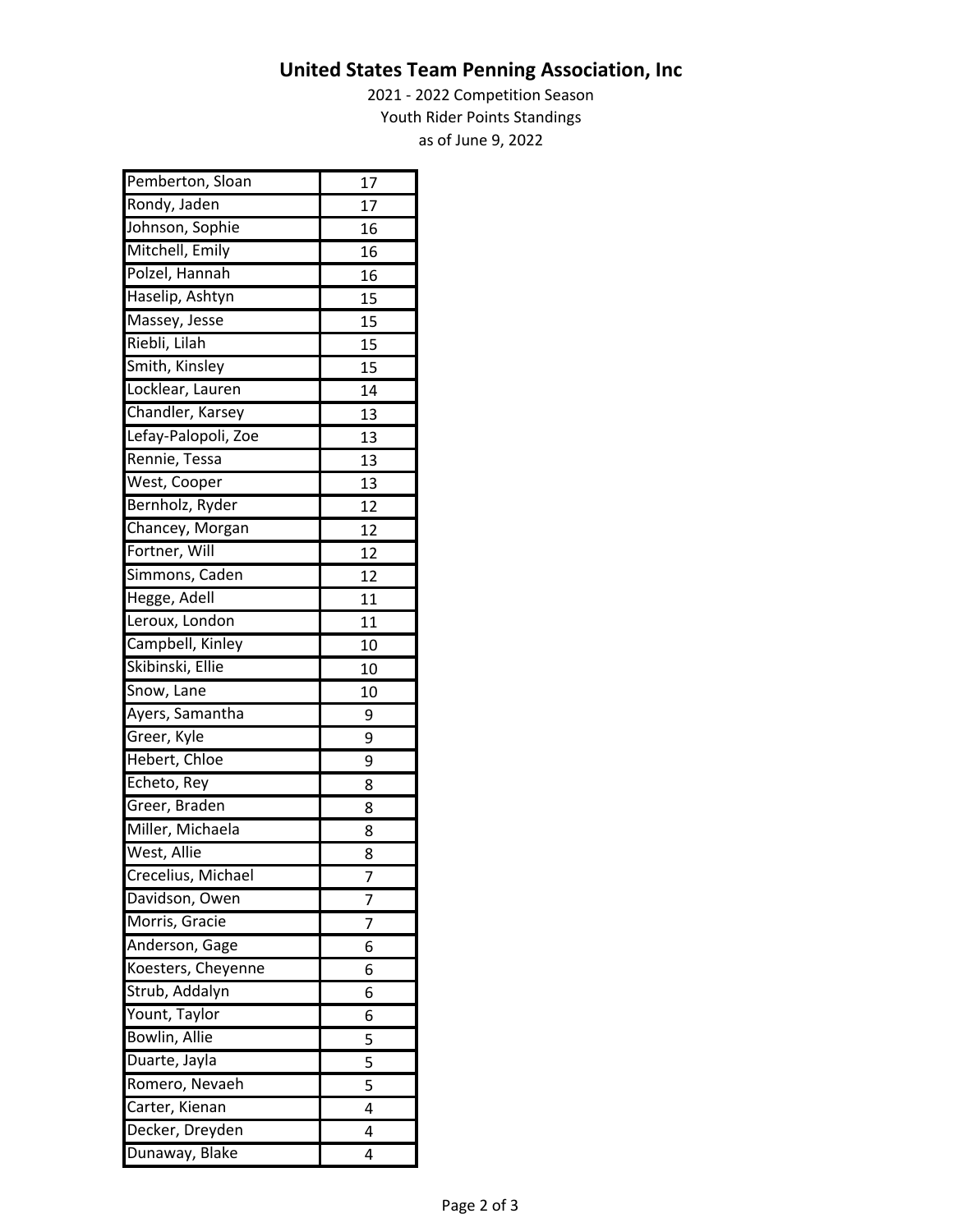## **United States Team Penning Association, Inc**

2021 ‐ 2022 Competition Season Youth Rider Points Standings as of June 9, 2022

| Pemberton, Sloan    | 17 |
|---------------------|----|
| Rondy, Jaden        | 17 |
| Johnson, Sophie     | 16 |
| Mitchell, Emily     | 16 |
| Polzel, Hannah      | 16 |
| Haselip, Ashtyn     | 15 |
| Massey, Jesse       | 15 |
| Riebli, Lilah       | 15 |
| Smith, Kinsley      | 15 |
| Locklear, Lauren    | 14 |
| Chandler, Karsey    | 13 |
| Lefay-Palopoli, Zoe | 13 |
| Rennie, Tessa       | 13 |
| West, Cooper        | 13 |
| Bernholz, Ryder     | 12 |
| Chancey, Morgan     | 12 |
| Fortner, Will       | 12 |
| Simmons, Caden      | 12 |
| Hegge, Adell        | 11 |
| Leroux, London      | 11 |
| Campbell, Kinley    | 10 |
| Skibinski, Ellie    | 10 |
| Snow, Lane          | 10 |
| Ayers, Samantha     | 9  |
| Greer, Kyle         | 9  |
| Hebert, Chloe       | 9  |
| Echeto, Rey         | 8  |
| Greer, Braden       | 8  |
| Miller, Michaela    | 8  |
| West, Allie         | 8  |
| Crecelius, Michael  | 7  |
| Davidson, Owen      | 7  |
| Morris, Gracie      | 7  |
| Anderson, Gage      | 6  |
| Koesters, Cheyenne  | 6  |
| Strub, Addalyn      | 6  |
| Yount, Taylor       | 6  |
| Bowlin, Allie       | 5  |
| Duarte, Jayla       | 5  |
| Romero, Nevaeh      | 5  |
| Carter, Kienan      | 4  |
| Decker, Dreyden     | 4  |
| Dunaway, Blake      | 4  |